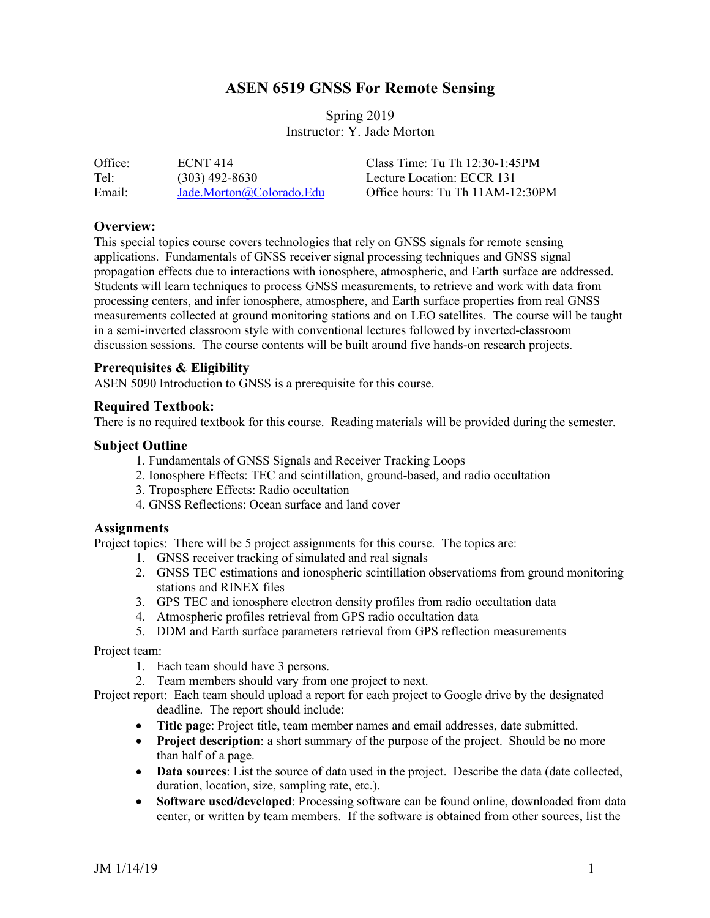# **ASEN 6519 GNSS For Remote Sensing**

## Spring 2019 Instructor: Y. Jade Morton

| Office: | <b>ECNT 414</b>          | Class Time: Tu Th $12:30-1:45PM$ |
|---------|--------------------------|----------------------------------|
| Tel:    | $(303)$ 492-8630         | Lecture Location: ECCR 131       |
| Email:  | Jade.Morton@Colorado.Edu | Office hours: Tu Th 11AM-12:30PM |

#### **Overview:**

This special topics course covers technologies that rely on GNSS signals for remote sensing applications. Fundamentals of GNSS receiver signal processing techniques and GNSS signal propagation effects due to interactions with ionosphere, atmospheric, and Earth surface are addressed. Students will learn techniques to process GNSS measurements, to retrieve and work with data from processing centers, and infer ionosphere, atmosphere, and Earth surface properties from real GNSS measurements collected at ground monitoring stations and on LEO satellites. The course will be taught in a semi-inverted classroom style with conventional lectures followed by inverted-classroom discussion sessions. The course contents will be built around five hands-on research projects.

### **Prerequisites & Eligibility**

ASEN 5090 Introduction to GNSS is a prerequisite for this course.

#### **Required Textbook:**

There is no required textbook for this course. Reading materials will be provided during the semester.

#### **Subject Outline**

- 1. Fundamentals of GNSS Signals and Receiver Tracking Loops
- 2. Ionosphere Effects: TEC and scintillation, ground-based, and radio occultation
- 3. Troposphere Effects: Radio occultation
- 4. GNSS Reflections: Ocean surface and land cover

#### **Assignments**

Project topics: There will be 5 project assignments for this course. The topics are:

- 1. GNSS receiver tracking of simulated and real signals
- 2. GNSS TEC estimations and ionospheric scintillation observatioms from ground monitoring stations and RINEX files
- 3. GPS TEC and ionosphere electron density profiles from radio occultation data
- 4. Atmospheric profiles retrieval from GPS radio occultation data
- 5. DDM and Earth surface parameters retrieval from GPS reflection measurements

Project team:

- 1. Each team should have 3 persons.
- 2. Team members should vary from one project to next.

Project report: Each team should upload a report for each project to Google drive by the designated deadline. The report should include:

- **Title page**: Project title, team member names and email addresses, date submitted.
- **Project description**: a short summary of the purpose of the project. Should be no more than half of a page.
- **Data sources**: List the source of data used in the project. Describe the data (date collected, duration, location, size, sampling rate, etc.).
- **Software used/developed**: Processing software can be found online, downloaded from data center, or written by team members. If the software is obtained from other sources, list the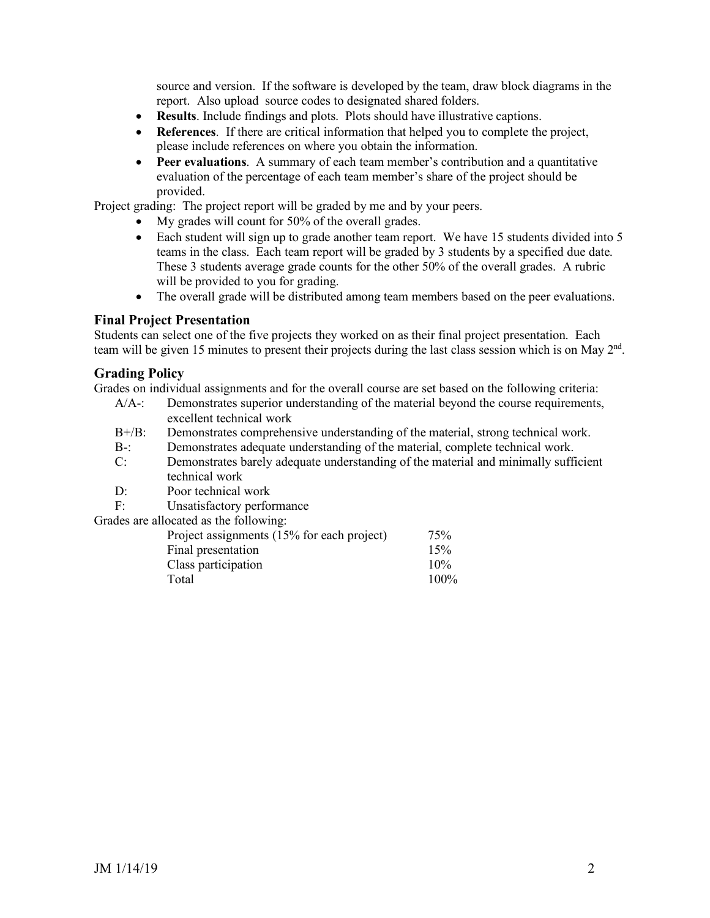source and version. If the software is developed by the team, draw block diagrams in the report. Also upload source codes to designated shared folders.

- **Results**. Include findings and plots. Plots should have illustrative captions.
- **References**. If there are critical information that helped you to complete the project, please include references on where you obtain the information.
- **Peer evaluations**. A summary of each team member's contribution and a quantitative evaluation of the percentage of each team member's share of the project should be provided.

Project grading: The project report will be graded by me and by your peers.

- My grades will count for 50% of the overall grades.
- Each student will sign up to grade another team report. We have 15 students divided into 5 teams in the class. Each team report will be graded by 3 students by a specified due date. These 3 students average grade counts for the other 50% of the overall grades. A rubric will be provided to you for grading.
- The overall grade will be distributed among team members based on the peer evaluations.

## **Final Project Presentation**

Students can select one of the five projects they worked on as their final project presentation. Each team will be given 15 minutes to present their projects during the last class session which is on May 2<sup>nd</sup>.

## **Grading Policy**

Grades on individual assignments and for the overall course are set based on the following criteria:

- A/A-: Demonstrates superior understanding of the material beyond the course requirements, excellent technical work
- B+/B: Demonstrates comprehensive understanding of the material, strong technical work.
- B-: Demonstrates adequate understanding of the material, complete technical work.
- C: Demonstrates barely adequate understanding of the material and minimally sufficient technical work
- D: Poor technical work
- F: Unsatisfactory performance

Grades are allocated as the following:

| Project assignments (15% for each project) | 75%  |
|--------------------------------------------|------|
| Final presentation                         | 15%  |
| Class participation                        | 10%  |
| Total                                      | 100% |